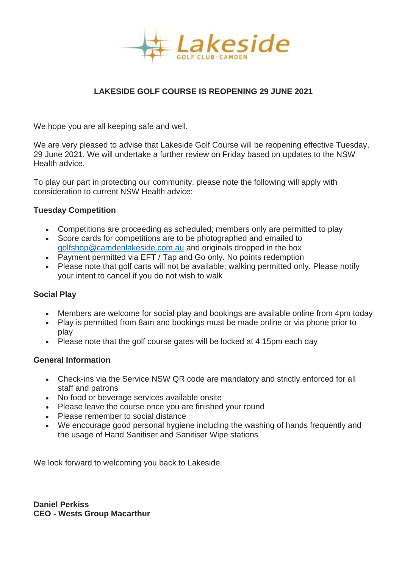

# **LAKESIDE GOLF COURSE IS REOPENING 29 JUNE 2021**

We hope you are all keeping safe and well.

We are very pleased to advise that Lakeside Golf Course will be reopening effective Tuesday, 29 June 2021. We will undertake a further review on Friday based on updates to the NSW Health advice.

To play our part in protecting our community, please note the following will apply with consideration to current NSW Health advice:

# **Tuesday Competition**

- Competitions are proceeding as scheduled; members only are permitted to play
- Score cards for competitions are to be photographed and emailed to [golfshop@camdenlakeside.com.au](mailto:golfshop@camdenlakeside.com.au) and originals dropped in the box
- Payment permitted via EFT / Tap and Go only. No points redemption
- Please note that golf carts will not be available; walking permitted only. Please notify your intent to cancel if you do not wish to walk

# **Social Play**

- Members are welcome for social play and bookings are available online from 4pm today
- Play is permitted from 8am and bookings must be made online or via phone prior to play
- Please note that the golf course gates will be locked at 4.15pm each day

# **General Information**

- Check-ins via the Service NSW QR code are mandatory and strictly enforced for all staff and patrons
- No food or beverage services available onsite
- Please leave the course once you are finished your round
- Please remember to social distance
- We encourage good personal hygiene including the washing of hands frequently and the usage of Hand Sanitiser and Sanitiser Wipe stations

We look forward to welcoming you back to Lakeside.

**Daniel Perkiss CEO - Wests Group Macarthur**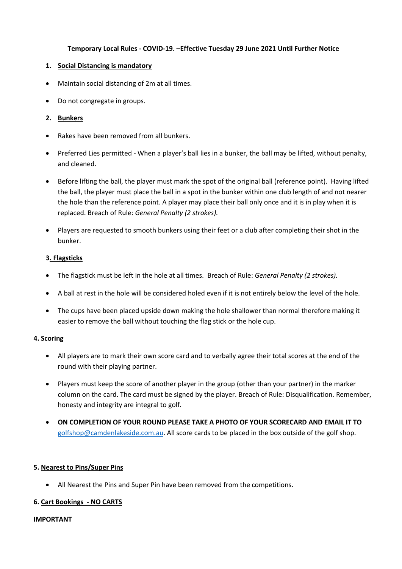## **Temporary Local Rules - COVID-19. –Effective Tuesday 29 June 2021 Until Further Notice**

### **1. Social Distancing is mandatory**

- Maintain social distancing of 2m at all times.
- Do not congregate in groups.

## **2. Bunkers**

- Rakes have been removed from all bunkers.
- Preferred Lies permitted When a player's ball lies in a bunker, the ball may be lifted, without penalty, and cleaned.
- Before lifting the ball, the player must mark the spot of the original ball (reference point). Having lifted the ball, the player must place the ball in a spot in the bunker within one club length of and not nearer the hole than the reference point. A player may place their ball only once and it is in play when it is replaced. Breach of Rule: *General Penalty (2 strokes).*
- Players are requested to smooth bunkers using their feet or a club after completing their shot in the bunker.

### **3. Flagsticks**

- The flagstick must be left in the hole at all times. Breach of Rule: *General Penalty (2 strokes).*
- A ball at rest in the hole will be considered holed even if it is not entirely below the level of the hole.
- The cups have been placed upside down making the hole shallower than normal therefore making it easier to remove the ball without touching the flag stick or the hole cup.

### **4. Scoring**

- All players are to mark their own score card and to verbally agree their total scores at the end of the round with their playing partner.
- Players must keep the score of another player in the group (other than your partner) in the marker column on the card. The card must be signed by the player. Breach of Rule: Disqualification. Remember, honesty and integrity are integral to golf.
- **ON COMPLETION OF YOUR ROUND PLEASE TAKE A PHOTO OF YOUR SCORECARD AND EMAIL IT TO** [golfshop@camdenlakeside.com.au.](mailto:golfshop@camdenlakeside.com.au) All score cards to be placed in the box outside of the golf shop.

## **5. Nearest to Pins/Super Pins**

• All Nearest the Pins and Super Pin have been removed from the competitions.

## **6. Cart Bookings - NO CARTS**

### **IMPORTANT**